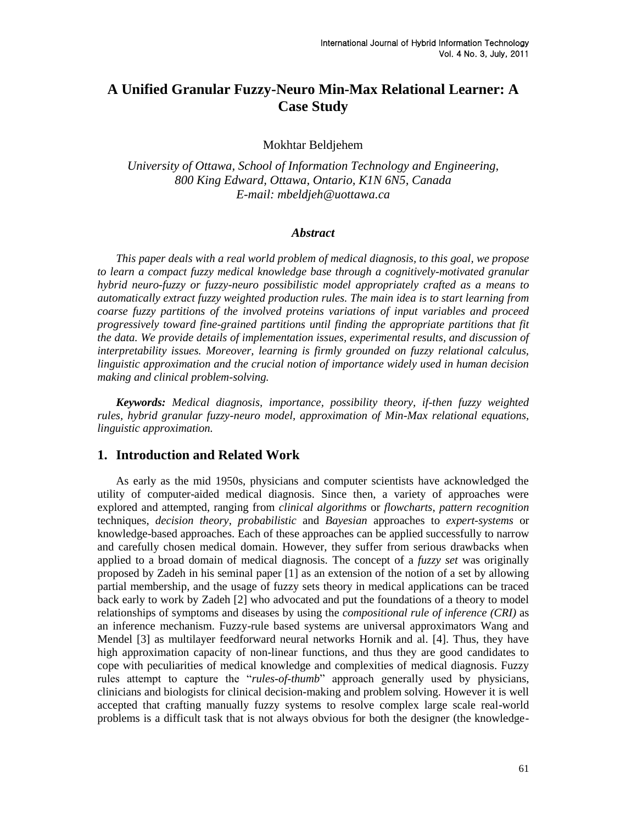# **A Unified Granular Fuzzy-Neuro Min-Max Relational Learner: A Case Study**

Mokhtar Beldjehem

*University of Ottawa, School of Information Technology and Engineering, 800 King Edward, Ottawa, Ontario, K1N 6N5, Canada E-mail: mbeldjeh@uottawa.ca*

#### *Abstract*

*This paper deals with a real world problem of medical diagnosis, to this goal, we propose to learn a compact fuzzy medical knowledge base through a cognitively-motivated granular hybrid neuro-fuzzy or fuzzy-neuro possibilistic model appropriately crafted as a means to automatically extract fuzzy weighted production rules. The main idea is to start learning from coarse fuzzy partitions of the involved proteins variations of input variables and proceed progressively toward fine-grained partitions until finding the appropriate partitions that fit the data. We provide details of implementation issues, experimental results, and discussion of interpretability issues. Moreover, learning is firmly grounded on fuzzy relational calculus, linguistic approximation and the crucial notion of importance widely used in human decision making and clinical problem-solving.*

*Keywords: Medical diagnosis, importance, possibility theory, if-then fuzzy weighted rules, hybrid granular fuzzy-neuro model, approximation of Min-Max relational equations, linguistic approximation.*

# **1. Introduction and Related Work**

As early as the mid 1950s, physicians and computer scientists have acknowledged the utility of computer-aided medical diagnosis. Since then, a variety of approaches were explored and attempted, ranging from *clinical algorithms* or *flowcharts*, *pattern recognition* techniques, *decision theory*, *probabilistic* and *Bayesian* approaches to *expert-systems* or knowledge-based approaches. Each of these approaches can be applied successfully to narrow and carefully chosen medical domain. However, they suffer from serious drawbacks when applied to a broad domain of medical diagnosis. The concept of a *fuzzy set* was originally proposed by Zadeh in his seminal paper [1] as an extension of the notion of a set by allowing partial membership, and the usage of fuzzy sets theory in medical applications can be traced back early to work by Zadeh [2] who advocated and put the foundations of a theory to model relationships of symptoms and diseases by using the *compositional rule of inference (CRI)* as an inference mechanism. Fuzzy-rule based systems are universal approximators Wang and Mendel [3] as multilayer feedforward neural networks Hornik and al. [4]. Thus, they have high approximation capacity of non-linear functions, and thus they are good candidates to cope with peculiarities of medical knowledge and complexities of medical diagnosis. Fuzzy rules attempt to capture the "*rules-of-thumb*" approach generally used by physicians, clinicians and biologists for clinical decision-making and problem solving. However it is well accepted that crafting manually fuzzy systems to resolve complex large scale real-world problems is a difficult task that is not always obvious for both the designer (the knowledge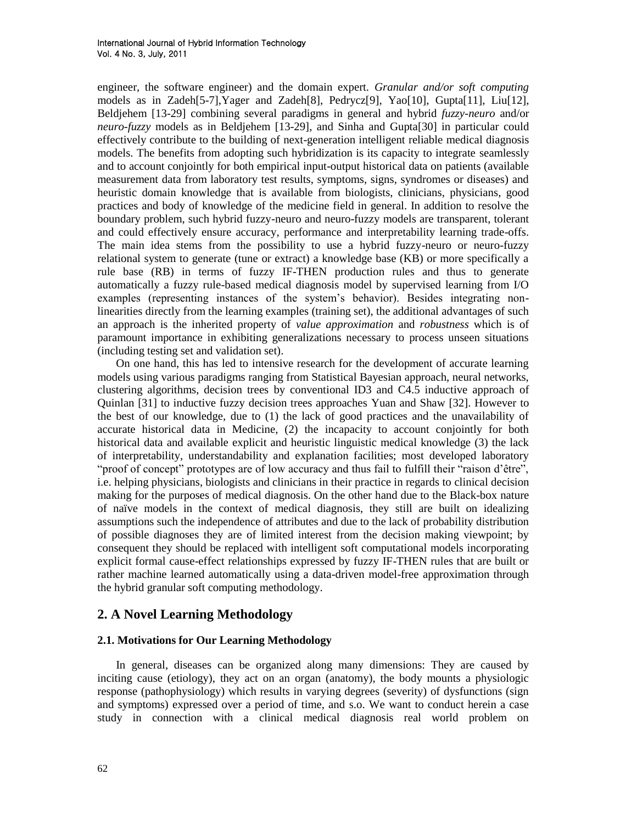engineer, the software engineer) and the domain expert*. Granular and/or soft computing* models as in Zadeh[5-7],Yager and Zadeh[8], Pedrycz[9], Yao[10], Gupta[11], Liu[12], Beldjehem [13-29] combining several paradigms in general and hybrid *fuzzy-neuro* and/or *neuro-fuzzy* models as in Beldjehem [13-29], and Sinha and Gupta[30] in particular could effectively contribute to the building of next-generation intelligent reliable medical diagnosis models. The benefits from adopting such hybridization is its capacity to integrate seamlessly and to account conjointly for both empirical input-output historical data on patients (available measurement data from laboratory test results, symptoms, signs, syndromes or diseases) and heuristic domain knowledge that is available from biologists, clinicians, physicians, good practices and body of knowledge of the medicine field in general. In addition to resolve the boundary problem, such hybrid fuzzy-neuro and neuro-fuzzy models are transparent, tolerant and could effectively ensure accuracy, performance and interpretability learning trade-offs. The main idea stems from the possibility to use a hybrid fuzzy-neuro or neuro-fuzzy relational system to generate (tune or extract) a knowledge base (KB) or more specifically a rule base (RB) in terms of fuzzy IF-THEN production rules and thus to generate automatically a fuzzy rule-based medical diagnosis model by supervised learning from I/O examples (representing instances of the system's behavior). Besides integrating nonlinearities directly from the learning examples (training set), the additional advantages of such an approach is the inherited property of *value approximation* and *robustness* which is of paramount importance in exhibiting generalizations necessary to process unseen situations (including testing set and validation set).

On one hand, this has led to intensive research for the development of accurate learning models using various paradigms ranging from Statistical Bayesian approach, neural networks, clustering algorithms, decision trees by conventional ID3 and C4.5 inductive approach of Quinlan [31] to inductive fuzzy decision trees approaches Yuan and Shaw [32]. However to the best of our knowledge, due to (1) the lack of good practices and the unavailability of accurate historical data in Medicine, (2) the incapacity to account conjointly for both historical data and available explicit and heuristic linguistic medical knowledge (3) the lack of interpretability, understandability and explanation facilities; most developed laboratory "proof of concept" prototypes are of low accuracy and thus fail to fulfill their "raison d'être", i.e. helping physicians, biologists and clinicians in their practice in regards to clinical decision making for the purposes of medical diagnosis. On the other hand due to the Black-box nature of naïve models in the context of medical diagnosis, they still are built on idealizing assumptions such the independence of attributes and due to the lack of probability distribution of possible diagnoses they are of limited interest from the decision making viewpoint; by consequent they should be replaced with intelligent soft computational models incorporating explicit formal cause-effect relationships expressed by fuzzy IF-THEN rules that are built or rather machine learned automatically using a data-driven model-free approximation through the hybrid granular soft computing methodology.

# **2. A Novel Learning Methodology**

### **2.1. Motivations for Our Learning Methodology**

In general, diseases can be organized along many dimensions: They are caused by inciting cause (etiology), they act on an organ (anatomy), the body mounts a physiologic response (pathophysiology) which results in varying degrees (severity) of dysfunctions (sign and symptoms) expressed over a period of time, and s.o. We want to conduct herein a case study in connection with a clinical medical diagnosis real world problem on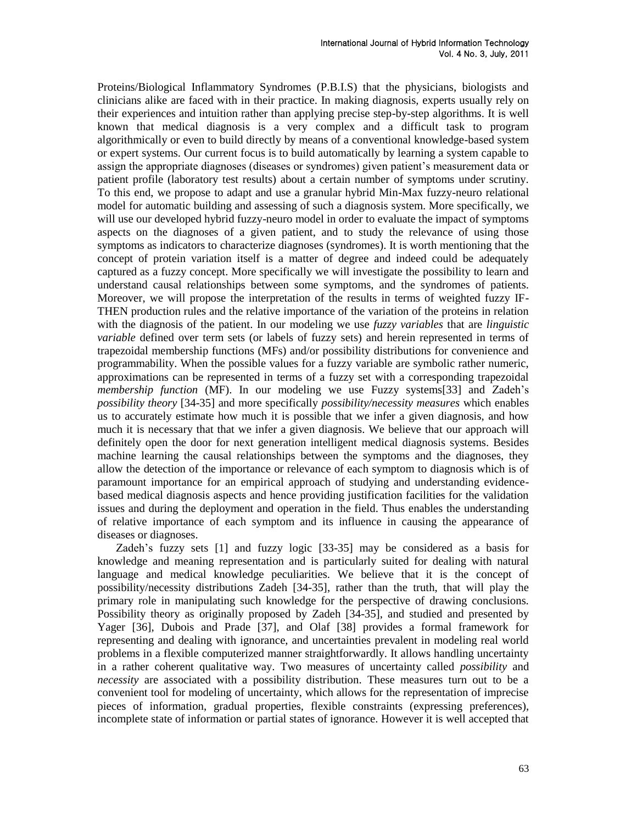Proteins/Biological Inflammatory Syndromes (P.B.I.S) that the physicians, biologists and clinicians alike are faced with in their practice. In making diagnosis, experts usually rely on their experiences and intuition rather than applying precise step-by-step algorithms. It is well known that medical diagnosis is a very complex and a difficult task to program algorithmically or even to build directly by means of a conventional knowledge-based system or expert systems. Our current focus is to build automatically by learning a system capable to assign the appropriate diagnoses (diseases or syndromes) given patient's measurement data or patient profile (laboratory test results) about a certain number of symptoms under scrutiny. To this end, we propose to adapt and use a granular hybrid Min-Max fuzzy-neuro relational model for automatic building and assessing of such a diagnosis system. More specifically, we will use our developed hybrid fuzzy-neuro model in order to evaluate the impact of symptoms aspects on the diagnoses of a given patient, and to study the relevance of using those symptoms as indicators to characterize diagnoses (syndromes). It is worth mentioning that the concept of protein variation itself is a matter of degree and indeed could be adequately captured as a fuzzy concept. More specifically we will investigate the possibility to learn and understand causal relationships between some symptoms, and the syndromes of patients. Moreover, we will propose the interpretation of the results in terms of weighted fuzzy IF-THEN production rules and the relative importance of the variation of the proteins in relation with the diagnosis of the patient. In our modeling we use *fuzzy variables* that are *linguistic variable* defined over term sets (or labels of fuzzy sets) and herein represented in terms of trapezoidal membership functions (MFs) and/or possibility distributions for convenience and programmability. When the possible values for a fuzzy variable are symbolic rather numeric, approximations can be represented in terms of a fuzzy set with a corresponding trapezoidal *membership function* (MF). In our modeling we use Fuzzy systems[33] and Zadeh's *possibility theory* [34-35] and more specifically *possibility/necessity measures* which enables us to accurately estimate how much it is possible that we infer a given diagnosis, and how much it is necessary that that we infer a given diagnosis. We believe that our approach will definitely open the door for next generation intelligent medical diagnosis systems. Besides machine learning the causal relationships between the symptoms and the diagnoses, they allow the detection of the importance or relevance of each symptom to diagnosis which is of paramount importance for an empirical approach of studying and understanding evidencebased medical diagnosis aspects and hence providing justification facilities for the validation issues and during the deployment and operation in the field. Thus enables the understanding of relative importance of each symptom and its influence in causing the appearance of diseases or diagnoses.

Zadeh's fuzzy sets [1] and fuzzy logic [33-35] may be considered as a basis for knowledge and meaning representation and is particularly suited for dealing with natural language and medical knowledge peculiarities. We believe that it is the concept of possibility/necessity distributions Zadeh [34-35], rather than the truth, that will play the primary role in manipulating such knowledge for the perspective of drawing conclusions. Possibility theory as originally proposed by Zadeh [34-35], and studied and presented by Yager [36], Dubois and Prade [37], and Olaf [38] provides a formal framework for representing and dealing with ignorance, and uncertainties prevalent in modeling real world problems in a flexible computerized manner straightforwardly. It allows handling uncertainty in a rather coherent qualitative way. Two measures of uncertainty called *possibility* and *necessity* are associated with a possibility distribution. These measures turn out to be a convenient tool for modeling of uncertainty, which allows for the representation of imprecise pieces of information, gradual properties, flexible constraints (expressing preferences), incomplete state of information or partial states of ignorance. However it is well accepted that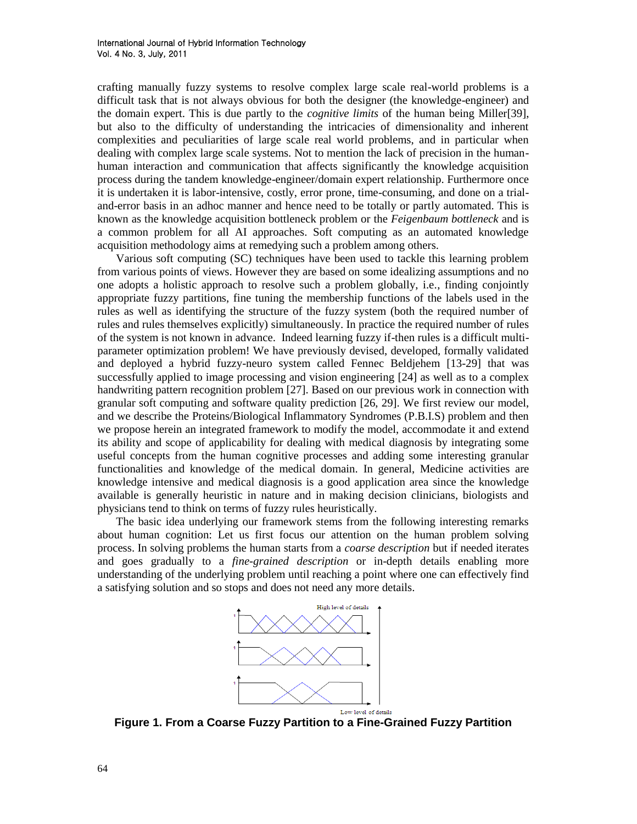crafting manually fuzzy systems to resolve complex large scale real-world problems is a difficult task that is not always obvious for both the designer (the knowledge-engineer) and the domain expert. This is due partly to the *cognitive limits* of the human being Miller[39], but also to the difficulty of understanding the intricacies of dimensionality and inherent complexities and peculiarities of large scale real world problems, and in particular when dealing with complex large scale systems. Not to mention the lack of precision in the humanhuman interaction and communication that affects significantly the knowledge acquisition process during the tandem knowledge-engineer/domain expert relationship. Furthermore once it is undertaken it is labor-intensive, costly, error prone, time-consuming, and done on a trialand-error basis in an adhoc manner and hence need to be totally or partly automated. This is known as the knowledge acquisition bottleneck problem or the *Feigenbaum bottleneck* and is a common problem for all AI approaches. Soft computing as an automated knowledge acquisition methodology aims at remedying such a problem among others.

Various soft computing (SC) techniques have been used to tackle this learning problem from various points of views. However they are based on some idealizing assumptions and no one adopts a holistic approach to resolve such a problem globally, i.e., finding conjointly appropriate fuzzy partitions, fine tuning the membership functions of the labels used in the rules as well as identifying the structure of the fuzzy system (both the required number of rules and rules themselves explicitly) simultaneously. In practice the required number of rules of the system is not known in advance. Indeed learning fuzzy if-then rules is a difficult multiparameter optimization problem! We have previously devised, developed, formally validated and deployed a hybrid fuzzy-neuro system called Fennec Beldjehem [13-29] that was successfully applied to image processing and vision engineering [24] as well as to a complex handwriting pattern recognition problem [27]. Based on our previous work in connection with granular soft computing and software quality prediction [26, 29]. We first review our model, and we describe the Proteins/Biological Inflammatory Syndromes (P.B.I.S) problem and then we propose herein an integrated framework to modify the model, accommodate it and extend its ability and scope of applicability for dealing with medical diagnosis by integrating some useful concepts from the human cognitive processes and adding some interesting granular functionalities and knowledge of the medical domain. In general, Medicine activities are knowledge intensive and medical diagnosis is a good application area since the knowledge available is generally heuristic in nature and in making decision clinicians, biologists and physicians tend to think on terms of fuzzy rules heuristically.

The basic idea underlying our framework stems from the following interesting remarks about human cognition: Let us first focus our attention on the human problem solving process. In solving problems the human starts from a *coarse description* but if needed iterates and goes gradually to a *fine-grained description* or in-depth details enabling more understanding of the underlying problem until reaching a point where one can effectively find a satisfying solution and so stops and does not need any more details.



**Figure 1. From a Coarse Fuzzy Partition to a Fine-Grained Fuzzy Partition**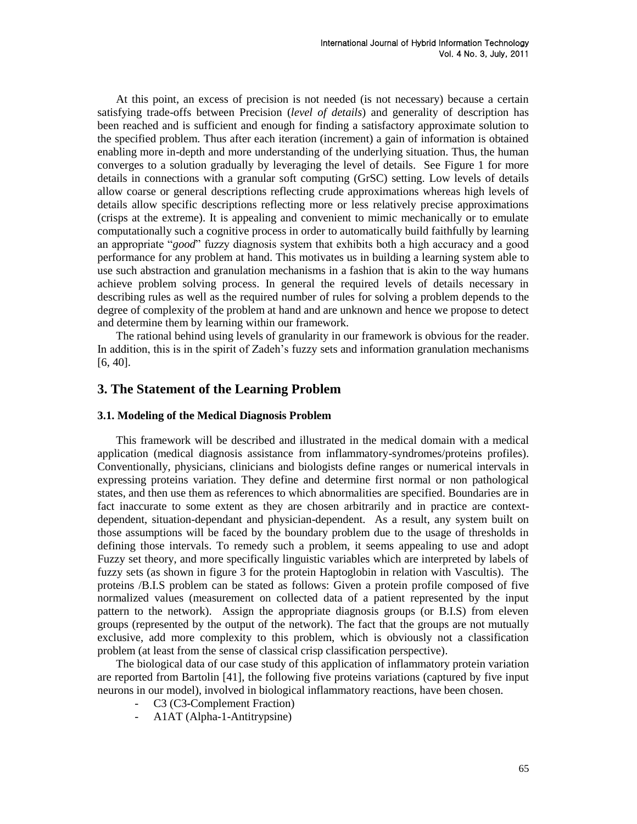At this point, an excess of precision is not needed (is not necessary) because a certain satisfying trade-offs between Precision (*level of details*) and generality of description has been reached and is sufficient and enough for finding a satisfactory approximate solution to the specified problem. Thus after each iteration (increment) a gain of information is obtained enabling more in-depth and more understanding of the underlying situation. Thus, the human converges to a solution gradually by leveraging the level of details. See Figure 1 for more details in connections with a granular soft computing (GrSC) setting. Low levels of details allow coarse or general descriptions reflecting crude approximations whereas high levels of details allow specific descriptions reflecting more or less relatively precise approximations (crisps at the extreme). It is appealing and convenient to mimic mechanically or to emulate computationally such a cognitive process in order to automatically build faithfully by learning an appropriate "*good*" fuzzy diagnosis system that exhibits both a high accuracy and a good performance for any problem at hand. This motivates us in building a learning system able to use such abstraction and granulation mechanisms in a fashion that is akin to the way humans achieve problem solving process. In general the required levels of details necessary in describing rules as well as the required number of rules for solving a problem depends to the degree of complexity of the problem at hand and are unknown and hence we propose to detect and determine them by learning within our framework.

The rational behind using levels of granularity in our framework is obvious for the reader. In addition, this is in the spirit of Zadeh's fuzzy sets and information granulation mechanisms [6, 40].

### **3. The Statement of the Learning Problem**

#### **3.1. Modeling of the Medical Diagnosis Problem**

This framework will be described and illustrated in the medical domain with a medical application (medical diagnosis assistance from inflammatory-syndromes/proteins profiles). Conventionally, physicians, clinicians and biologists define ranges or numerical intervals in expressing proteins variation. They define and determine first normal or non pathological states, and then use them as references to which abnormalities are specified. Boundaries are in fact inaccurate to some extent as they are chosen arbitrarily and in practice are contextdependent, situation-dependant and physician-dependent. As a result, any system built on those assumptions will be faced by the boundary problem due to the usage of thresholds in defining those intervals. To remedy such a problem, it seems appealing to use and adopt Fuzzy set theory, and more specifically linguistic variables which are interpreted by labels of fuzzy sets (as shown in figure 3 for the protein Haptoglobin in relation with Vascultis). The proteins /B.I.S problem can be stated as follows: Given a protein profile composed of five normalized values (measurement on collected data of a patient represented by the input pattern to the network). Assign the appropriate diagnosis groups (or B.I.S) from eleven groups (represented by the output of the network). The fact that the groups are not mutually exclusive, add more complexity to this problem, which is obviously not a classification problem (at least from the sense of classical crisp classification perspective).

The biological data of our case study of this application of inflammatory protein variation are reported from Bartolin [41], the following five proteins variations (captured by five input neurons in our model), involved in biological inflammatory reactions, have been chosen.

- C3 (C3-Complement Fraction)
- A1AT (Alpha-1-Antitrypsine)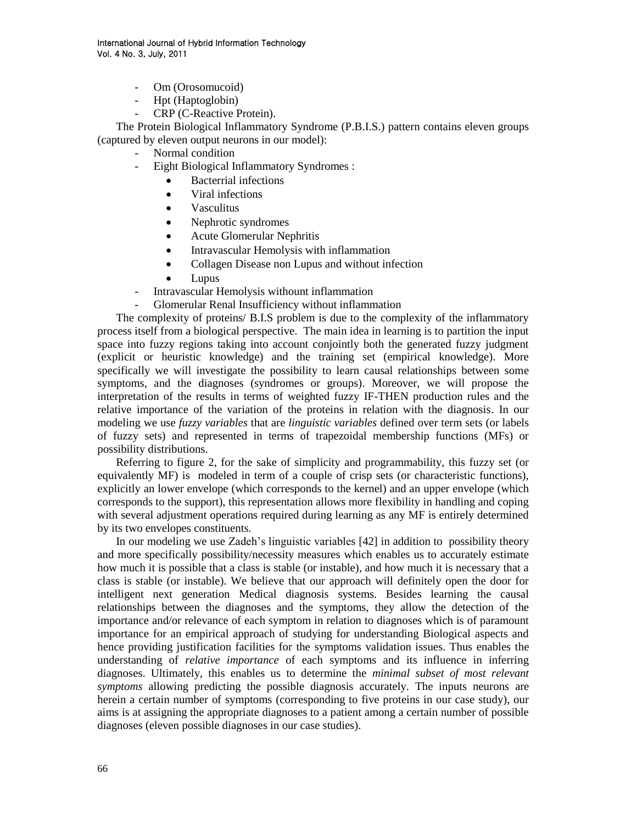- Om (Orosomucoid)
- Hpt (Haptoglobin)
- CRP (C-Reactive Protein).

The Protein Biological Inflammatory Syndrome (P.B.I.S.) pattern contains eleven groups (captured by eleven output neurons in our model):

- Normal condition
- Eight Biological Inflammatory Syndromes :
	- Bacterrial infections
	- Viral infections
	- Vasculitus
	- Nephrotic syndromes
	- Acute Glomerular Nephritis
	- Intravascular Hemolysis with inflammation
	- Collagen Disease non Lupus and without infection
	- Lupus
- Intravascular Hemolysis withount inflammation
- Glomerular Renal Insufficiency without inflammation

The complexity of proteins/ B.I.S problem is due to the complexity of the inflammatory process itself from a biological perspective. The main idea in learning is to partition the input space into fuzzy regions taking into account conjointly both the generated fuzzy judgment (explicit or heuristic knowledge) and the training set (empirical knowledge). More specifically we will investigate the possibility to learn causal relationships between some symptoms, and the diagnoses (syndromes or groups). Moreover, we will propose the interpretation of the results in terms of weighted fuzzy IF-THEN production rules and the relative importance of the variation of the proteins in relation with the diagnosis. In our modeling we use *fuzzy variables* that are *linguistic variables* defined over term sets (or labels of fuzzy sets) and represented in terms of trapezoidal membership functions (MFs) or possibility distributions.

Referring to figure 2, for the sake of simplicity and programmability, this fuzzy set (or equivalently MF) is modeled in term of a couple of crisp sets (or characteristic functions), explicitly an lower envelope (which corresponds to the kernel) and an upper envelope (which corresponds to the support), this representation allows more flexibility in handling and coping with several adjustment operations required during learning as any MF is entirely determined by its two envelopes constituents.

In our modeling we use Zadeh's linguistic variables [42] in addition to possibility theory and more specifically possibility/necessity measures which enables us to accurately estimate how much it is possible that a class is stable (or instable), and how much it is necessary that a class is stable (or instable). We believe that our approach will definitely open the door for intelligent next generation Medical diagnosis systems. Besides learning the causal relationships between the diagnoses and the symptoms, they allow the detection of the importance and/or relevance of each symptom in relation to diagnoses which is of paramount importance for an empirical approach of studying for understanding Biological aspects and hence providing justification facilities for the symptoms validation issues. Thus enables the understanding of *relative importance* of each symptoms and its influence in inferring diagnoses. Ultimately, this enables us to determine the *minimal subset of most relevant symptoms* allowing predicting the possible diagnosis accurately. The inputs neurons are herein a certain number of symptoms (corresponding to five proteins in our case study), our aims is at assigning the appropriate diagnoses to a patient among a certain number of possible diagnoses (eleven possible diagnoses in our case studies).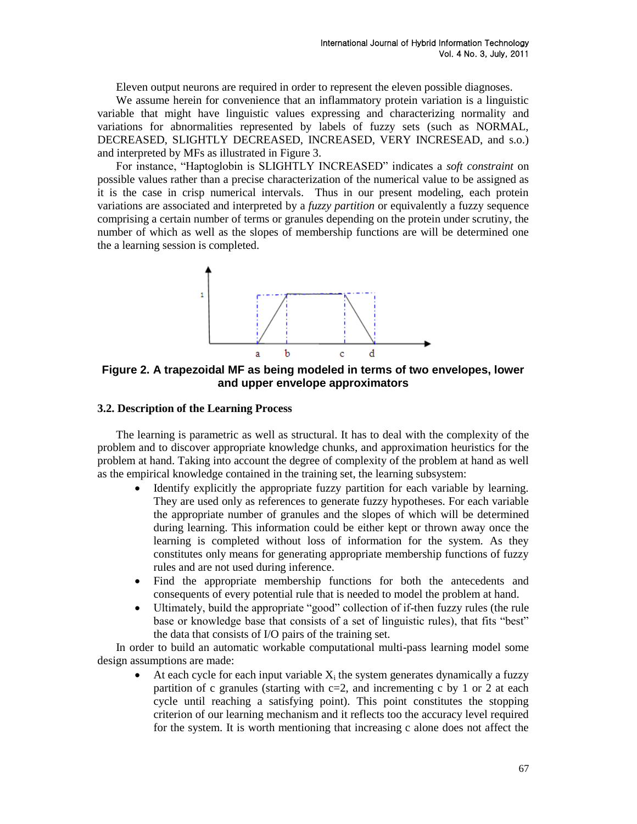Eleven output neurons are required in order to represent the eleven possible diagnoses.

We assume herein for convenience that an inflammatory protein variation is a linguistic variable that might have linguistic values expressing and characterizing normality and variations for abnormalities represented by labels of fuzzy sets (such as NORMAL, DECREASED, SLIGHTLY DECREASED, INCREASED, VERY INCRESEAD, and s.o.) and interpreted by MFs as illustrated in Figure 3.

For instance, "Haptoglobin is SLIGHTLY INCREASED" indicates a *soft constraint* on possible values rather than a precise characterization of the numerical value to be assigned as it is the case in crisp numerical intervals. Thus in our present modeling, each protein variations are associated and interpreted by a *fuzzy partition* or equivalently a fuzzy sequence comprising a certain number of terms or granules depending on the protein under scrutiny, the number of which as well as the slopes of membership functions are will be determined one the a learning session is completed.



**Figure 2. A trapezoidal MF as being modeled in terms of two envelopes, lower and upper envelope approximators**

### **3.2. Description of the Learning Process**

The learning is parametric as well as structural. It has to deal with the complexity of the problem and to discover appropriate knowledge chunks, and approximation heuristics for the problem at hand. Taking into account the degree of complexity of the problem at hand as well as the empirical knowledge contained in the training set, the learning subsystem:

- Identify explicitly the appropriate fuzzy partition for each variable by learning. They are used only as references to generate fuzzy hypotheses. For each variable the appropriate number of granules and the slopes of which will be determined during learning. This information could be either kept or thrown away once the learning is completed without loss of information for the system. As they constitutes only means for generating appropriate membership functions of fuzzy rules and are not used during inference.
- Find the appropriate membership functions for both the antecedents and consequents of every potential rule that is needed to model the problem at hand.
- Ultimately, build the appropriate "good" collection of if-then fuzzy rules (the rule base or knowledge base that consists of a set of linguistic rules), that fits "best" the data that consists of I/O pairs of the training set.

In order to build an automatic workable computational multi-pass learning model some design assumptions are made:

• At each cycle for each input variable  $X_i$  the system generates dynamically a fuzzy partition of c granules (starting with  $c=2$ , and incrementing c by 1 or 2 at each cycle until reaching a satisfying point). This point constitutes the stopping criterion of our learning mechanism and it reflects too the accuracy level required for the system. It is worth mentioning that increasing c alone does not affect the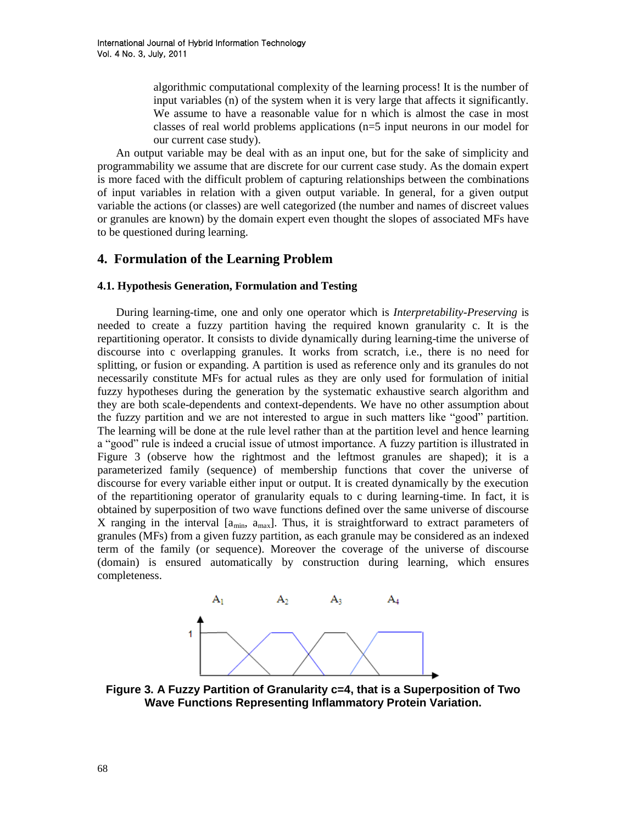algorithmic computational complexity of the learning process! It is the number of input variables (n) of the system when it is very large that affects it significantly. We assume to have a reasonable value for n which is almost the case in most classes of real world problems applications (n=5 input neurons in our model for our current case study).

An output variable may be deal with as an input one, but for the sake of simplicity and programmability we assume that are discrete for our current case study. As the domain expert is more faced with the difficult problem of capturing relationships between the combinations of input variables in relation with a given output variable. In general, for a given output variable the actions (or classes) are well categorized (the number and names of discreet values or granules are known) by the domain expert even thought the slopes of associated MFs have to be questioned during learning.

# **4. Formulation of the Learning Problem**

### **4.1. Hypothesis Generation, Formulation and Testing**

During learning-time, one and only one operator which is *Interpretability-Preserving* is needed to create a fuzzy partition having the required known granularity c. It is the repartitioning operator. It consists to divide dynamically during learning-time the universe of discourse into c overlapping granules. It works from scratch, i.e., there is no need for splitting, or fusion or expanding. A partition is used as reference only and its granules do not necessarily constitute MFs for actual rules as they are only used for formulation of initial fuzzy hypotheses during the generation by the systematic exhaustive search algorithm and they are both scale-dependents and context-dependents. We have no other assumption about the fuzzy partition and we are not interested to argue in such matters like "good" partition. The learning will be done at the rule level rather than at the partition level and hence learning a "good" rule is indeed a crucial issue of utmost importance. A fuzzy partition is illustrated in Figure 3 (observe how the rightmost and the leftmost granules are shaped); it is a parameterized family (sequence) of membership functions that cover the universe of discourse for every variable either input or output. It is created dynamically by the execution of the repartitioning operator of granularity equals to c during learning-time. In fact, it is obtained by superposition of two wave functions defined over the same universe of discourse X ranging in the interval  $[a_{min}, a_{max}]$ . Thus, it is straightforward to extract parameters of granules (MFs) from a given fuzzy partition, as each granule may be considered as an indexed term of the family (or sequence). Moreover the coverage of the universe of discourse (domain) is ensured automatically by construction during learning, which ensures completeness.



**Figure 3. A Fuzzy Partition of Granularity c=4, that is a Superposition of Two Wave Functions Representing Inflammatory Protein Variation.**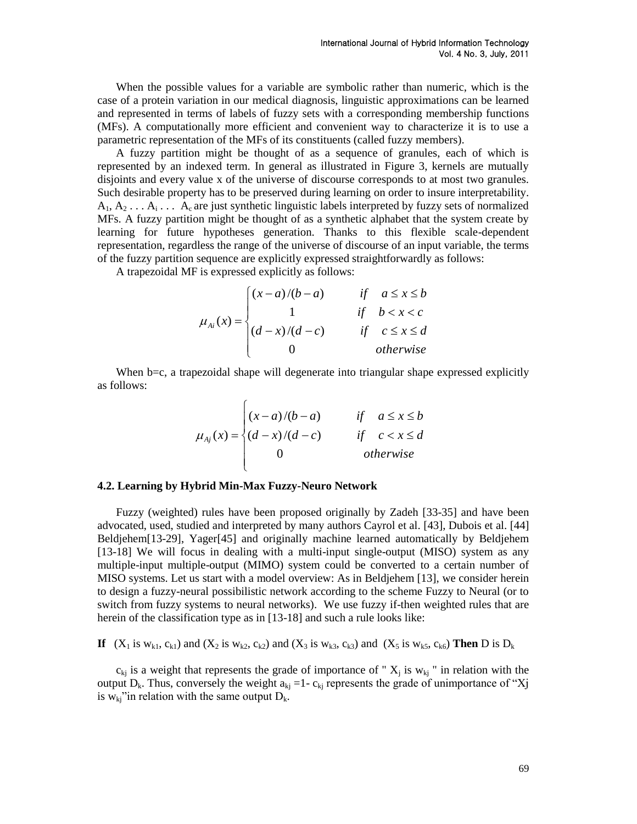When the possible values for a variable are symbolic rather than numeric, which is the case of a protein variation in our medical diagnosis, linguistic approximations can be learned and represented in terms of labels of fuzzy sets with a corresponding membership functions (MFs). A computationally more efficient and convenient way to characterize it is to use a parametric representation of the MFs of its constituents (called fuzzy members).

A fuzzy partition might be thought of as a sequence of granules, each of which is represented by an indexed term. In general as illustrated in Figure 3, kernels are mutually disjoints and every value x of the universe of discourse corresponds to at most two granules. Such desirable property has to be preserved during learning on order to insure interpretability.  $A_1, A_2, \ldots, A_i, \ldots, A_c$  are just synthetic linguistic labels interpreted by fuzzy sets of normalized MFs. A fuzzy partition might be thought of as a synthetic alphabet that the system create by learning for future hypotheses generation. Thanks to this flexible scale-dependent representation, regardless the range of the universe of discourse of an input variable, the terms of the fuzzy partition sequence are explicitly expressed straightforwardly as follows:

A trapezoidal MF is expressed explicitly as follows:

| $\mu_{Ai}(x) = \begin{cases} 1 \\ (d-x)/(d-c) \end{cases}$ | $\int (x-a)/(b-a)$ | if $a \leq x \leq b$  |
|------------------------------------------------------------|--------------------|-----------------------|
|                                                            |                    | <i>if</i> $b < x < c$ |
|                                                            |                    | if $c \leq x \leq d$  |
|                                                            |                    | otherwise             |

When b=c, a trapezoidal shape will degenerate into triangular shape expressed explicitly as follows:

$$
\mu_{Aj}(x) = \begin{cases}\n(x-a)/(b-a) & \text{if } a \le x \le b \\
(d-x)/(d-c) & \text{if } c < x \le d \\
0 & \text{otherwise}\n\end{cases}
$$

#### **4.2. Learning by Hybrid Min-Max Fuzzy-Neuro Network**

Fuzzy (weighted) rules have been proposed originally by Zadeh [33-35] and have been advocated, used, studied and interpreted by many authors Cayrol et al. [43], Dubois et al. [44] Beldjehem[13-29], Yager[45] and originally machine learned automatically by Beldjehem [13-18] We will focus in dealing with a multi-input single-output (MISO) system as any multiple-input multiple-output (MIMO) system could be converted to a certain number of MISO systems. Let us start with a model overview: As in Beldjehem [13], we consider herein to design a fuzzy-neural possibilistic network according to the scheme Fuzzy to Neural (or to switch from fuzzy systems to neural networks). We use fuzzy if-then weighted rules that are herein of the classification type as in [13-18] and such a rule looks like:

**If**  $(X_1$  is  $w_{k1}$ ,  $c_{k1}$ ) and  $(X_2$  is  $w_{k2}$ ,  $c_{k2}$ ) and  $(X_3$  is  $w_{k3}$ ,  $c_{k3}$ ) and  $(X_5$  is  $w_{k5}$ ,  $c_{k6}$ ) **Then** D is  $D_k$ 

 $c_{kj}$  is a weight that represents the grade of importance of " $X_j$  is  $w_{kj}$ " in relation with the output  $D_k$ . Thus, conversely the weight  $a_{kj} = 1 - c_{kj}$  represents the grade of unimportance of "Xj is  $w_{kj}$ "in relation with the same output  $D_k$ .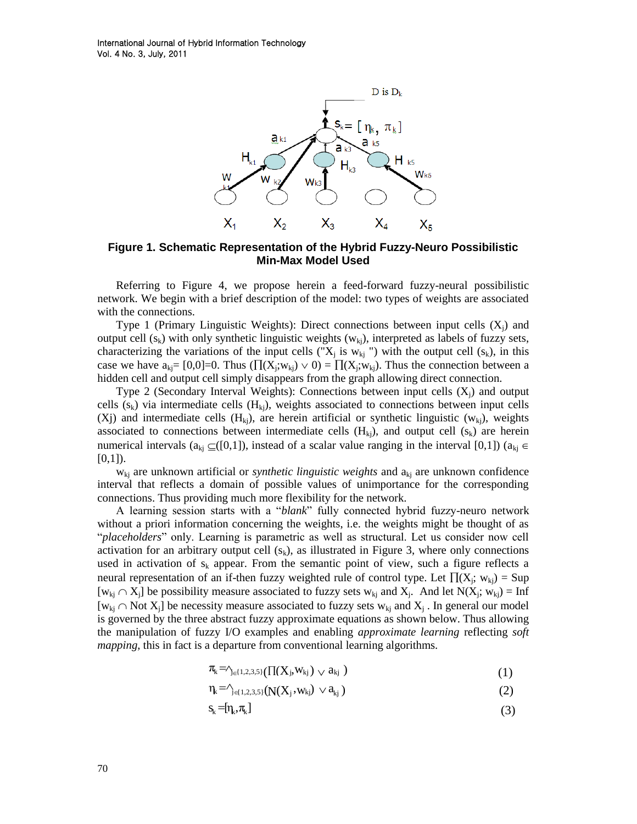

**Figure 1. Schematic Representation of the Hybrid Fuzzy-Neuro Possibilistic Min-Max Model Used**

Referring to Figure 4, we propose herein a feed-forward fuzzy-neural possibilistic network. We begin with a brief description of the model: two types of weights are associated with the connections.

Type 1 (Primary Linguistic Weights): Direct connections between input cells  $(X_i)$  and output cell  $(s_k)$  with only synthetic linguistic weights  $(w_{ki})$ , interpreted as labels of fuzzy sets, characterizing the variations of the input cells (" $X_j$  is  $w_{kj}$ ") with the output cell  $(s_k)$ , in this case we have  $a_{kj} = [0,0]=0$ . Thus  $(\prod(X_j; w_{kj}) \vee 0) = \prod(X_j; w_{kj})$ . Thus the connection between a hidden cell and output cell simply disappears from the graph allowing direct connection.

Type 2 (Secondary Interval Weights): Connections between input cells  $(X_i)$  and output cells  $(s_k)$  via intermediate cells  $(H_k)$ , weights associated to connections between input cells (Xj) and intermediate cells  $(H_{ki})$ , are herein artificial or synthetic linguistic ( $w_{ki}$ ), weights associated to connections between intermediate cells  $(H_{kj})$ , and output cell  $(s_k)$  are herein numerical intervals ( $a_{ki} \subseteq ([0,1])$ , instead of a scalar value ranging in the interval [0,1]) ( $a_{ki} \in$  $[0,1]$ ).

 $w_{ki}$  are unknown artificial or *synthetic linguistic weights* and  $a_{ki}$  are unknown confidence interval that reflects a domain of possible values of unimportance for the corresponding connections. Thus providing much more flexibility for the network.

A learning session starts with a "*blank*" fully connected hybrid fuzzy-neuro network without a priori information concerning the weights, i.e. the weights might be thought of as "*placeholders*" only. Learning is parametric as well as structural. Let us consider now cell activation for an arbitrary output cell  $(s_k)$ , as illustrated in Figure 3, where only connections used in activation of  $s_k$  appear. From the semantic point of view, such a figure reflects a neural representation of an if-then fuzzy weighted rule of control type. Let  $\prod(X_i; w_{kj}) = \text{Sup}$  $[w_{kj} \cap X_j]$  be possibility measure associated to fuzzy sets  $w_{kj}$  and  $X_j$ . And let  $N(X_j; w_{kj}) = Inf$  $[w_{kj} \cap Not X_j]$  be necessity measure associated to fuzzy sets  $w_{kj}$  and  $X_j$ . In general our model is governed by the three abstract fuzzy approximate equations as shown below. Thus allowing the manipulation of fuzzy I/O examples and enabling *approximate learning* reflecting *soft mapping*, this in fact is a departure from conventional learning algorithms.

$$
\pi_{k} = \sum_{j\in\{1,2,3,5\}} (\prod(X_{j}, W_{kj}) \vee a_{kj})
$$
\n(1)

$$
\eta_i = \sum_{j \in \{1,2,3,5\}} (N(X_j, w_{kj}) \vee a_{kj})
$$
\n(2)

$$
S_k = [n_k, \pi_k]
$$
\n<sup>(3)</sup>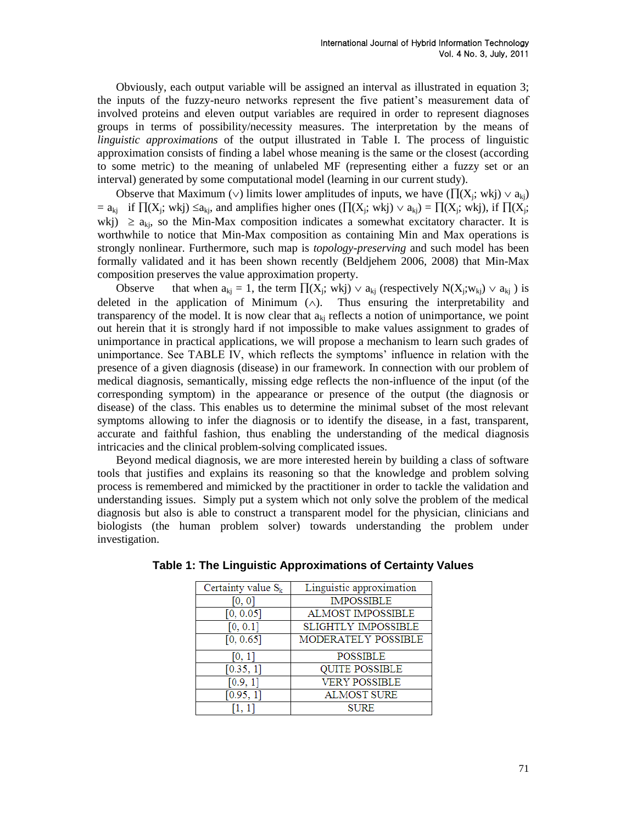Obviously, each output variable will be assigned an interval as illustrated in equation 3; the inputs of the fuzzy-neuro networks represent the five patient's measurement data of involved proteins and eleven output variables are required in order to represent diagnoses groups in terms of possibility/necessity measures. The interpretation by the means of *linguistic approximations* of the output illustrated in Table I. The process of linguistic approximation consists of finding a label whose meaning is the same or the closest (according to some metric) to the meaning of unlabeled MF (representing either a fuzzy set or an interval) generated by some computational model (learning in our current study).

Observe that Maximum ( $\vee$ ) limits lower amplitudes of inputs, we have  $(\Pi(X_j; wkj) \vee a_{kj})$  $= a_{kj}$  if  $\prod(X_j; wkj) \le a_{kj}$ , and amplifies higher ones  $(\prod(X_j; wkj) \vee a_{kj}) = \prod(X_j; wkj)$ , if  $\prod(X_j; wkj)$ wkj)  $\ge a_{ki}$ , so the Min-Max composition indicates a somewhat excitatory character. It is worthwhile to notice that Min-Max composition as containing Min and Max operations is strongly nonlinear. Furthermore, such map is *topology-preserving* and such model has been formally validated and it has been shown recently (Beldjehem 2006, 2008) that Min-Max composition preserves the value approximation property.

Observe that when  $a_{kj} = 1$ , the term  $\prod(X_j; wkj) \vee a_{kj}$  (respectively  $N(X_j; w_{kj}) \vee a_{kj}$ ) is deleted in the application of Minimum  $(\wedge)$ . Thus ensuring the interpretability and transparency of the model. It is now clear that  $a_{ki}$  reflects a notion of unimportance, we point out herein that it is strongly hard if not impossible to make values assignment to grades of unimportance in practical applications, we will propose a mechanism to learn such grades of unimportance. See TABLE IV, which reflects the symptoms' influence in relation with the presence of a given diagnosis (disease) in our framework. In connection with our problem of medical diagnosis, semantically, missing edge reflects the non-influence of the input (of the corresponding symptom) in the appearance or presence of the output (the diagnosis or disease) of the class. This enables us to determine the minimal subset of the most relevant symptoms allowing to infer the diagnosis or to identify the disease, in a fast, transparent, accurate and faithful fashion, thus enabling the understanding of the medical diagnosis intricacies and the clinical problem-solving complicated issues.

Beyond medical diagnosis, we are more interested herein by building a class of software tools that justifies and explains its reasoning so that the knowledge and problem solving process is remembered and mimicked by the practitioner in order to tackle the validation and understanding issues. Simply put a system which not only solve the problem of the medical diagnosis but also is able to construct a transparent model for the physician, clinicians and biologists (the human problem solver) towards understanding the problem under investigation.

| Certainty value S <sub>k</sub> | Linguistic approximation   |
|--------------------------------|----------------------------|
| [0, 0]                         | <b>IMPOSSIBLE</b>          |
| [0, 0.05]                      | <b>ALMOST IMPOSSIBLE</b>   |
| [0, 0.1]                       | <b>SLIGHTLY IMPOSSIBLE</b> |
| [0, 0.65]                      | MODERATELY POSSIBLE        |
| [0, 1]                         | <b>POSSIBLE</b>            |
| [0.35, 1]                      | <b>QUITE POSSIBLE</b>      |
| [0.9, 1]                       | <b>VERY POSSIBLE</b>       |
| [0.95, 1]                      | <b>ALMOST SURE</b>         |
|                                | <b>SURE</b>                |

### **Table 1: The Linguistic Approximations of Certainty Values**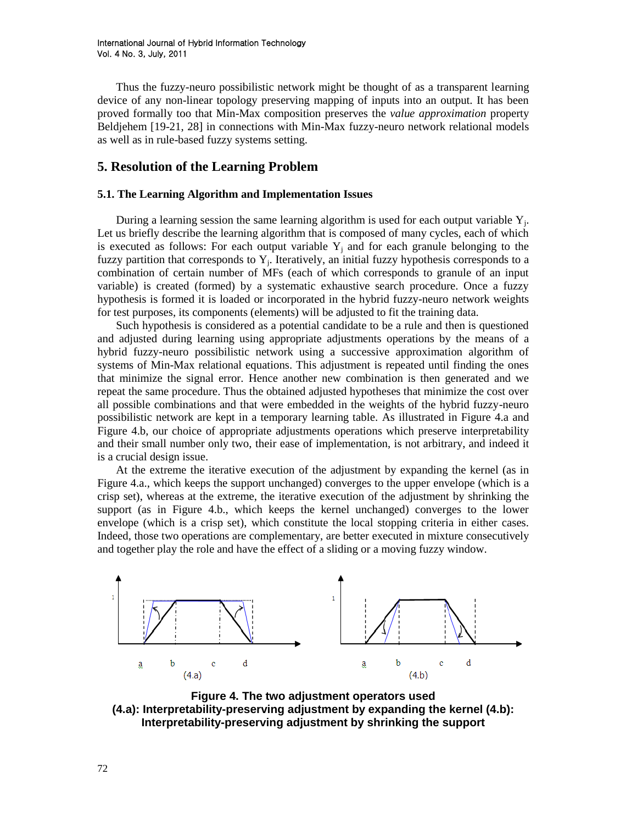Thus the fuzzy-neuro possibilistic network might be thought of as a transparent learning device of any non-linear topology preserving mapping of inputs into an output. It has been proved formally too that Min-Max composition preserves the *value approximation* property Beldjehem [19-21, 28] in connections with Min-Max fuzzy-neuro network relational models as well as in rule-based fuzzy systems setting.

### **5. Resolution of the Learning Problem**

#### **5.1. The Learning Algorithm and Implementation Issues**

During a learning session the same learning algorithm is used for each output variable  $Y_j$ . Let us briefly describe the learning algorithm that is composed of many cycles, each of which is executed as follows: For each output variable  $Y_i$  and for each granule belonging to the fuzzy partition that corresponds to  $Y_j$ . Iteratively, an initial fuzzy hypothesis corresponds to a combination of certain number of MFs (each of which corresponds to granule of an input variable) is created (formed) by a systematic exhaustive search procedure. Once a fuzzy hypothesis is formed it is loaded or incorporated in the hybrid fuzzy-neuro network weights for test purposes, its components (elements) will be adjusted to fit the training data.

Such hypothesis is considered as a potential candidate to be a rule and then is questioned and adjusted during learning using appropriate adjustments operations by the means of a hybrid fuzzy-neuro possibilistic network using a successive approximation algorithm of systems of Min-Max relational equations. This adjustment is repeated until finding the ones that minimize the signal error. Hence another new combination is then generated and we repeat the same procedure. Thus the obtained adjusted hypotheses that minimize the cost over all possible combinations and that were embedded in the weights of the hybrid fuzzy-neuro possibilistic network are kept in a temporary learning table. As illustrated in Figure 4.a and Figure 4.b, our choice of appropriate adjustments operations which preserve interpretability and their small number only two, their ease of implementation, is not arbitrary, and indeed it is a crucial design issue.

At the extreme the iterative execution of the adjustment by expanding the kernel (as in Figure 4.a., which keeps the support unchanged) converges to the upper envelope (which is a crisp set), whereas at the extreme, the iterative execution of the adjustment by shrinking the support (as in Figure 4.b., which keeps the kernel unchanged) converges to the lower envelope (which is a crisp set), which constitute the local stopping criteria in either cases. Indeed, those two operations are complementary, are better executed in mixture consecutively and together play the role and have the effect of a sliding or a moving fuzzy window.



**Figure 4. The two adjustment operators used (4.a): Interpretability-preserving adjustment by expanding the kernel (4.b): Interpretability-preserving adjustment by shrinking the support**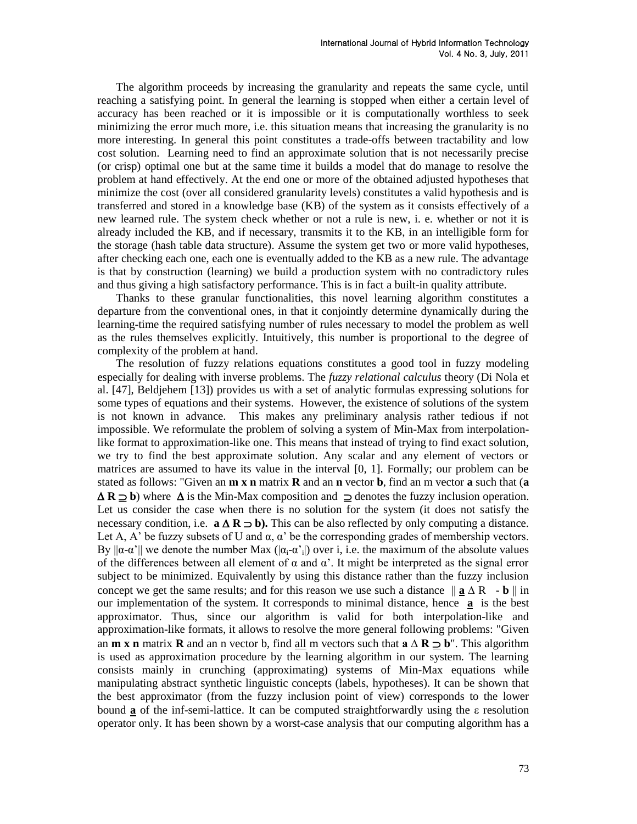The algorithm proceeds by increasing the granularity and repeats the same cycle, until reaching a satisfying point. In general the learning is stopped when either a certain level of accuracy has been reached or it is impossible or it is computationally worthless to seek minimizing the error much more, i.e. this situation means that increasing the granularity is no more interesting. In general this point constitutes a trade-offs between tractability and low cost solution. Learning need to find an approximate solution that is not necessarily precise (or crisp) optimal one but at the same time it builds a model that do manage to resolve the problem at hand effectively. At the end one or more of the obtained adjusted hypotheses that minimize the cost (over all considered granularity levels) constitutes a valid hypothesis and is transferred and stored in a knowledge base (KB) of the system as it consists effectively of a new learned rule. The system check whether or not a rule is new, i. e. whether or not it is already included the KB, and if necessary, transmits it to the KB, in an intelligible form for the storage (hash table data structure). Assume the system get two or more valid hypotheses, after checking each one, each one is eventually added to the KB as a new rule. The advantage is that by construction (learning) we build a production system with no contradictory rules and thus giving a high satisfactory performance. This is in fact a built-in quality attribute.

Thanks to these granular functionalities, this novel learning algorithm constitutes a departure from the conventional ones, in that it conjointly determine dynamically during the learning-time the required satisfying number of rules necessary to model the problem as well as the rules themselves explicitly. Intuitively, this number is proportional to the degree of complexity of the problem at hand.

The resolution of fuzzy relations equations constitutes a good tool in fuzzy modeling especially for dealing with inverse problems. The *fuzzy relational calculus* theory (Di Nola et al. [47], Beldjehem [13]) provides us with a set of analytic formulas expressing solutions for some types of equations and their systems. However, the existence of solutions of the system is not known in advance. This makes any preliminary analysis rather tedious if not impossible. We reformulate the problem of solving a system of Min-Max from interpolationlike format to approximation-like one. This means that instead of trying to find exact solution, we try to find the best approximate solution. Any scalar and any element of vectors or matrices are assumed to have its value in the interval [0, 1]. Formally; our problem can be stated as follows: "Given an **m x n** matrix **R** and an **n** vector **b**, find an m vector **a** such that (**a**   $\Delta R \supseteq b$ ) where  $\Delta$  is the Min-Max composition and  $\supseteq$  denotes the fuzzy inclusion operation. Let us consider the case when there is no solution for the system (it does not satisfy the necessary condition, i.e.  $\mathbf{a} \Delta \mathbf{R} \Rightarrow \mathbf{b}$ . This can be also reflected by only computing a distance. Let A, A' be fuzzy subsets of U and  $\alpha$ ,  $\alpha$ ' be the corresponding grades of membership vectors. By  $\|\alpha-\alpha^*\|$  we denote the number Max  $(|\alpha_i-\alpha^*|)$  over i, i.e. the maximum of the absolute values of the differences between all element of  $\alpha$  and  $\alpha'$ . It might be interpreted as the signal error subject to be minimized. Equivalently by using this distance rather than the fuzzy inclusion concept we get the same results; and for this reason we use such a distance  $\|\mathbf{a} \Delta \mathbf{R} - \mathbf{b}\|$  in our implementation of the system. It corresponds to minimal distance, hence **a** is the best approximator. Thus, since our algorithm is valid for both interpolation-like and approximation-like formats, it allows to resolve the more general following problems: "Given an **m** x **n** matrix **R** and an n vector b, find all m vectors such that  $\mathbf{a} \Delta \mathbf{R} \supset \mathbf{b}$ ". This algorithm is used as approximation procedure by the learning algorithm in our system. The learning consists mainly in crunching (approximating) systems of Min-Max equations while manipulating abstract synthetic linguistic concepts (labels, hypotheses). It can be shown that the best approximator (from the fuzzy inclusion point of view) corresponds to the lower bound **a** of the inf-semi-lattice. It can be computed straightforwardly using the  $\epsilon$  resolution operator only. It has been shown by a worst-case analysis that our computing algorithm has a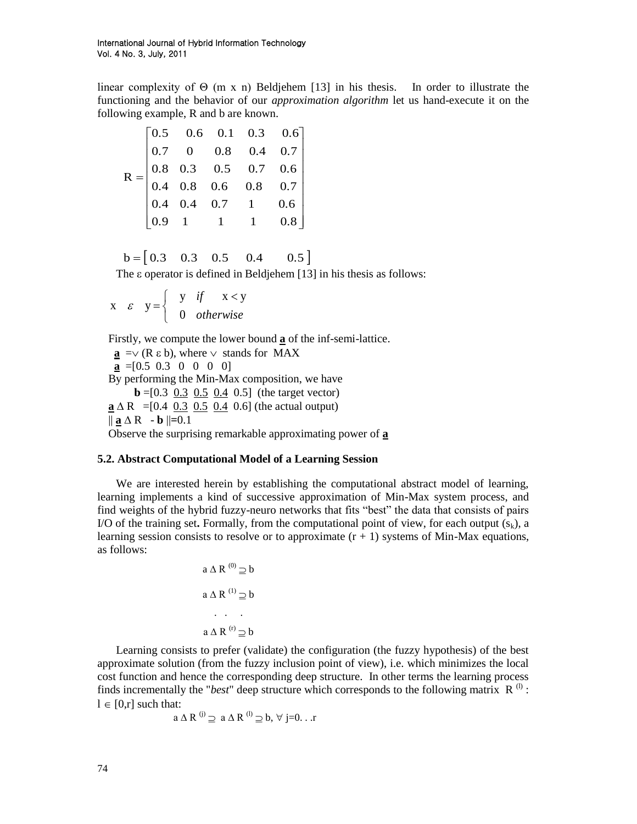linear complexity of Θ (m x n) Beldjehem [13] in his thesis. In order to illustrate the functioning and the behavior of our *approximation algorithm* let us hand-execute it on the following example, R and b are known.

| $R = \begin{bmatrix} 0.5 & 0.6 & 0.1 & 0.3 & 0.6 \\ 0.7 & 0 & 0.8 & 0.4 & 0.7 \\ 0.8 & 0.3 & 0.5 & 0.7 & 0.6 \\ 0.4 & 0.8 & 0.6 & 0.8 & 0.7 \\ 0.4 & 0.4 & 0.7 & 1 & 0.6 \\ 0.9 & 1 & 1 & 1 & 0.8 \end{bmatrix}$ |  |  |  |
|------------------------------------------------------------------------------------------------------------------------------------------------------------------------------------------------------------------|--|--|--|
|                                                                                                                                                                                                                  |  |  |  |
|                                                                                                                                                                                                                  |  |  |  |
|                                                                                                                                                                                                                  |  |  |  |
|                                                                                                                                                                                                                  |  |  |  |
|                                                                                                                                                                                                                  |  |  |  |

 $b = \begin{bmatrix} 0.3 & 0.3 & 0.5 & 0.4 & 0.5 \end{bmatrix}$ 

The  $\varepsilon$  operator is defined in Beldjehem [13] in his thesis as follows:

$$
x \t \mathcal{E} \t y = \begin{cases} y & \text{if } x < y \\ 0 & \text{otherwise} \end{cases}
$$

Firstly, we compute the lower bound **a** of the inf-semi-lattice.

 $\mathbf{a}$  =  $\vee$  (R  $\varepsilon$  b), where  $\vee$  stands for MAX  $\mathbf{a} = [0.5 \ 0.3 \ 0 \ 0 \ 0 \ 0]$ By performing the Min-Max composition, we have **b** =[0.3  $\overline{0.3}$   $\overline{0.5}$   $\overline{0.4}$  0.5] (the target vector)  $\mathbf{a} \Delta \mathbf{R}$  = [0.4 0.3 0.5 0.4 0.6] (the actual output)  $|| \mathbf{a} \Delta R - \mathbf{b} || = 0.1$ Observe the surprising remarkable approximating power of **a**

### **5.2. Abstract Computational Model of a Learning Session**

We are interested herein by establishing the computational abstract model of learning, learning implements a kind of successive approximation of Min-Max system process, and find weights of the hybrid fuzzy-neuro networks that fits "best" the data that consists of pairs I/O of the training set. Formally, from the computational point of view, for each output  $(s_k)$ , a learning session consists to resolve or to approximate  $(r + 1)$  systems of Min-Max equations, as follows:

$$
a \Delta R^{(0)} \supseteq b
$$
  

$$
a \Delta R^{(1)} \supseteq b
$$
  
...  

$$
a \Delta R^{(r)} \supseteq b
$$

Learning consists to prefer (validate) the configuration (the fuzzy hypothesis) of the best approximate solution (from the fuzzy inclusion point of view), i.e. which minimizes the local cost function and hence the corresponding deep structure. In other terms the learning process finds incrementally the "*best*" deep structure which corresponds to the following matrix  $R^{(l)}$ :  $l \in [0,r]$  such that:

 $a \Delta R^{(j)} \supseteq a \Delta R^{(l)} \supseteq b, \forall j=0...r$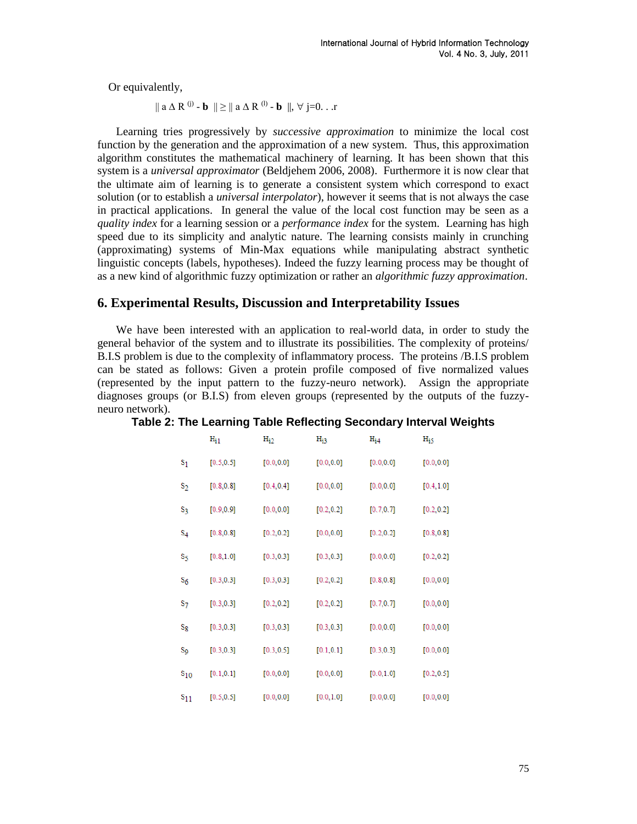Or equivalently,

 $||$  a  $\Delta$  R<sup>(i)</sup> - **b**  $|| \ge ||$  a  $\Delta$  R<sup>(i)</sup> - **b**  $||$ ,  $\forall$  j=0. . .r

Learning tries progressively by *successive approximation* to minimize the local cost function by the generation and the approximation of a new system. Thus, this approximation algorithm constitutes the mathematical machinery of learning. It has been shown that this system is a *universal approximator* (Beldjehem 2006, 2008). Furthermore it is now clear that the ultimate aim of learning is to generate a consistent system which correspond to exact solution (or to establish a *universal interpolator*), however it seems that is not always the case in practical applications. In general the value of the local cost function may be seen as a *quality index* for a learning session or a *performance index* for the system. Learning has high speed due to its simplicity and analytic nature. The learning consists mainly in crunching (approximating) systems of Min-Max equations while manipulating abstract synthetic linguistic concepts (labels, hypotheses). Indeed the fuzzy learning process may be thought of as a new kind of algorithmic fuzzy optimization or rather an *algorithmic fuzzy approximation*.

# **6. Experimental Results, Discussion and Interpretability Issues**

We have been interested with an application to real-world data, in order to study the general behavior of the system and to illustrate its possibilities. The complexity of proteins/ B.I.S problem is due to the complexity of inflammatory process. The proteins /B.I.S problem can be stated as follows: Given a protein profile composed of five normalized values (represented by the input pattern to the fuzzy-neuro network). Assign the appropriate diagnoses groups (or B.I.S) from eleven groups (represented by the outputs of the fuzzyneuro network).

|          | $H_{i1}$   | $H_{i2}$   | $H_{i3}$   | $H_{i4}$   | $H_{i5}$   |
|----------|------------|------------|------------|------------|------------|
| $s_{1}$  | [0.5, 0.5] | [0.0, 0.0] | [0.0, 0.0] | [0.0, 0.0] | [0.0, 0.0] |
| $s_2$    | [0.8, 0.8] | [0.4, 0.4] | [0.0, 0.0] | [0.0, 0.0] | [0.4, 1.0] |
| S3       | [0.9, 0.9] | [0.0, 0.0] | [0.2, 0.2] | [0.7, 0.7] | [0.2, 0.2] |
| $S_4$    | [0.8, 0.8] | [0.2, 0.2] | [0.0, 0.0] | [0.2, 0.2] | [0.8, 0.8] |
| S5       | [0.8, 1.0] | [0.3, 0.3] | [0.3, 0.3] | [0.0, 0.0] | [0.2, 0.2] |
| $s_6$    | [0.3, 0.3] | [0.3, 0.3] | [0.2, 0.2] | [0.8, 0.8] | [0.0, 0.0] |
| S7       | [0.3, 0.3] | [0.2, 0.2] | [0.2, 0.2] | [0.7, 0.7] | [0.0, 0.0] |
| $s_{8}$  | [0.3, 0.3] | [0.3, 0.3] | [0.3, 0.3] | [0.0, 0.0] | [0.0, 0.0] |
| S9       | [0.3, 0.3] | [0.3, 0.5] | [0.1, 0.1] | [0.3, 0.3] | [0.0, 0.0] |
| $s_{10}$ | [0.1, 0.1] | [0.0, 0.0] | [0.0, 0.0] | [0.0, 1.0] | [0.2, 0.5] |
| $s_{11}$ | [0.5, 0.5] | [0.0, 0.0] | [0.0, 1.0] | [0.0, 0.0] | [0.0, 0.0] |

**Table 2: The Learning Table Reflecting Secondary Interval Weights**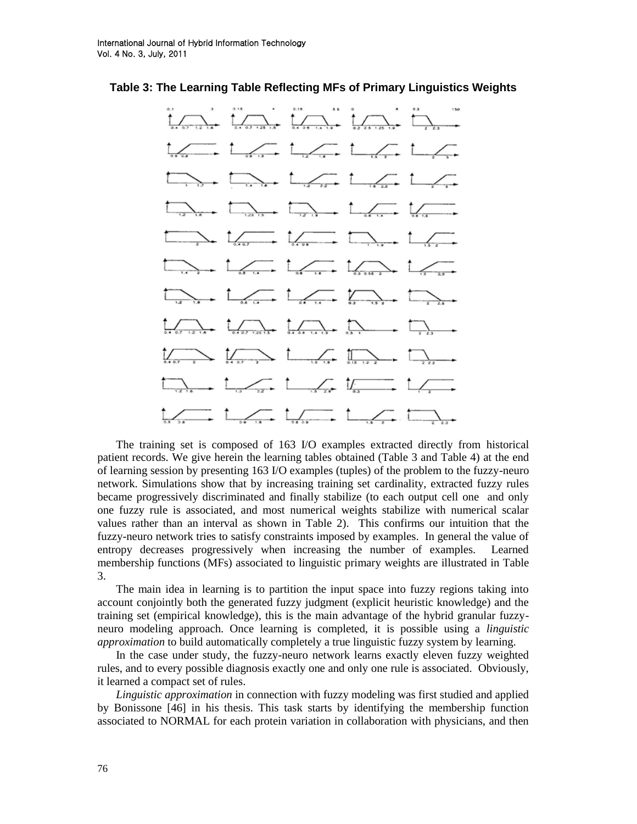



The training set is composed of 163 I/O examples extracted directly from historical patient records. We give herein the learning tables obtained (Table 3 and Table 4) at the end of learning session by presenting 163 I/O examples (tuples) of the problem to the fuzzy-neuro network. Simulations show that by increasing training set cardinality, extracted fuzzy rules became progressively discriminated and finally stabilize (to each output cell one and only one fuzzy rule is associated, and most numerical weights stabilize with numerical scalar values rather than an interval as shown in Table 2). This confirms our intuition that the fuzzy-neuro network tries to satisfy constraints imposed by examples. In general the value of entropy decreases progressively when increasing the number of examples. Learned membership functions (MFs) associated to linguistic primary weights are illustrated in Table 3.

The main idea in learning is to partition the input space into fuzzy regions taking into account conjointly both the generated fuzzy judgment (explicit heuristic knowledge) and the training set (empirical knowledge), this is the main advantage of the hybrid granular fuzzyneuro modeling approach. Once learning is completed, it is possible using a *linguistic approximation* to build automatically completely a true linguistic fuzzy system by learning.

In the case under study, the fuzzy-neuro network learns exactly eleven fuzzy weighted rules, and to every possible diagnosis exactly one and only one rule is associated. Obviously, it learned a compact set of rules.

*Linguistic approximation* in connection with fuzzy modeling was first studied and applied by Bonissone [46] in his thesis. This task starts by identifying the membership function associated to NORMAL for each protein variation in collaboration with physicians, and then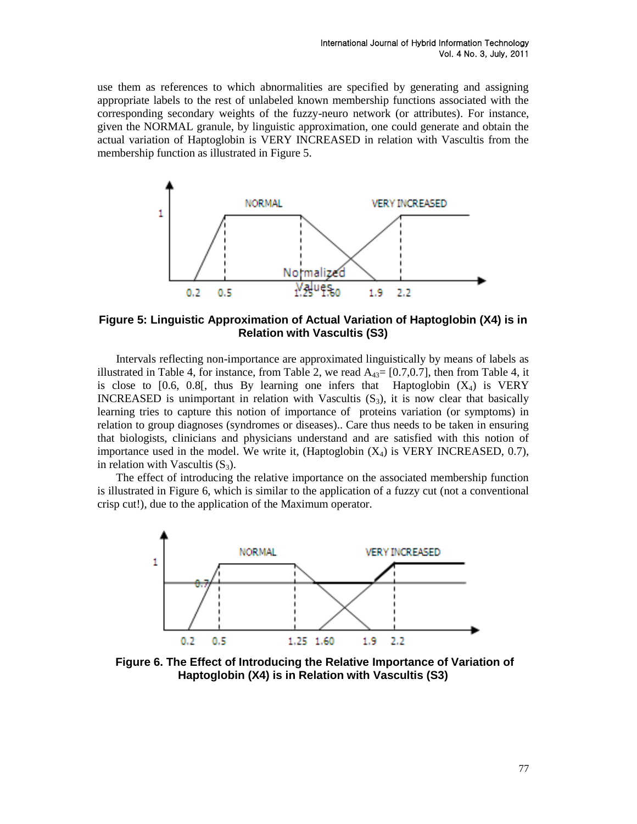use them as references to which abnormalities are specified by generating and assigning appropriate labels to the rest of unlabeled known membership functions associated with the corresponding secondary weights of the fuzzy-neuro network (or attributes). For instance, given the NORMAL granule, by linguistic approximation, one could generate and obtain the actual variation of Haptoglobin is VERY INCREASED in relation with Vascultis from the membership function as illustrated in Figure 5.



**Figure 5: Linguistic Approximation of Actual Variation of Haptoglobin (X4) is in Relation with Vascultis (S3)**

Intervals reflecting non-importance are approximated linguistically by means of labels as illustrated in Table 4, for instance, from Table 2, we read  $A_{43}$  = [0.7,0.7], then from Table 4, it is close to  $[0.6, 0.8]$ , thus By learning one infers that Haptoglobin  $(X_4)$  is VERY INCREASED is unimportant in relation with Vascultis  $(S_3)$ , it is now clear that basically learning tries to capture this notion of importance of proteins variation (or symptoms) in relation to group diagnoses (syndromes or diseases).. Care thus needs to be taken in ensuring that biologists, clinicians and physicians understand and are satisfied with this notion of importance used in the model. We write it, (Haptoglobin  $(X_4)$  is VERY INCREASED, 0.7), in relation with Vascultis  $(S_3)$ .

The effect of introducing the relative importance on the associated membership function is illustrated in Figure 6, which is similar to the application of a fuzzy cut (not a conventional crisp cut!), due to the application of the Maximum operator.



**Figure 6. The Effect of Introducing the Relative Importance of Variation of Haptoglobin (X4) is in Relation with Vascultis (S3)**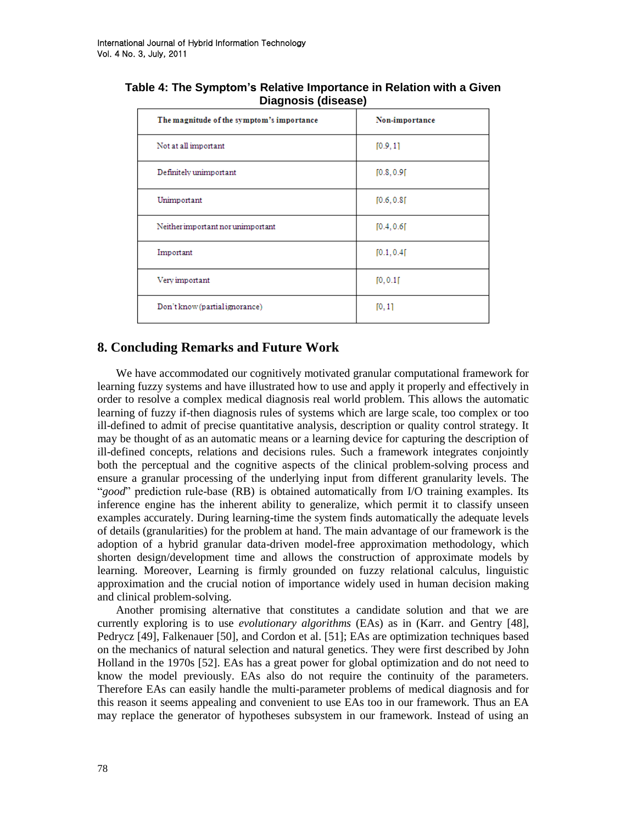| The magnitude of the symptom's importance | Non-importance |  |
|-------------------------------------------|----------------|--|
| Not at all important                      | [0.9, 1]       |  |
| Definitely unimportant                    | [0.8, 0.9]     |  |
| Unimportant                               | [0.6, 0.8]     |  |
| Neither important nor unimportant         | [0.4, 0.6]     |  |
| Important                                 | [0.1, 0.4]     |  |
| Very important                            | [0, 0.1]       |  |
| Don't know (partial ignorance)            | [0, 1]         |  |

## **Table 4: The Symptom's Relative Importance in Relation with a Given Diagnosis (disease)**

# **8. Concluding Remarks and Future Work**

We have accommodated our cognitively motivated granular computational framework for learning fuzzy systems and have illustrated how to use and apply it properly and effectively in order to resolve a complex medical diagnosis real world problem. This allows the automatic learning of fuzzy if-then diagnosis rules of systems which are large scale, too complex or too ill-defined to admit of precise quantitative analysis, description or quality control strategy. It may be thought of as an automatic means or a learning device for capturing the description of ill-defined concepts, relations and decisions rules. Such a framework integrates conjointly both the perceptual and the cognitive aspects of the clinical problem-solving process and ensure a granular processing of the underlying input from different granularity levels. The "*good*" prediction rule-base (RB) is obtained automatically from I/O training examples. Its inference engine has the inherent ability to generalize, which permit it to classify unseen examples accurately. During learning-time the system finds automatically the adequate levels of details (granularities) for the problem at hand. The main advantage of our framework is the adoption of a hybrid granular data-driven model-free approximation methodology, which shorten design/development time and allows the construction of approximate models by learning. Moreover, Learning is firmly grounded on fuzzy relational calculus, linguistic approximation and the crucial notion of importance widely used in human decision making and clinical problem-solving.

Another promising alternative that constitutes a candidate solution and that we are currently exploring is to use *evolutionary algorithms* (EAs) as in (Karr. and Gentry [48], Pedrycz [49], Falkenauer [50], and Cordon et al. [51]; EAs are optimization techniques based on the mechanics of natural selection and natural genetics. They were first described by John Holland in the 1970s [52]. EAs has a great power for global optimization and do not need to know the model previously. EAs also do not require the continuity of the parameters. Therefore EAs can easily handle the multi-parameter problems of medical diagnosis and for this reason it seems appealing and convenient to use EAs too in our framework. Thus an EA may replace the generator of hypotheses subsystem in our framework. Instead of using an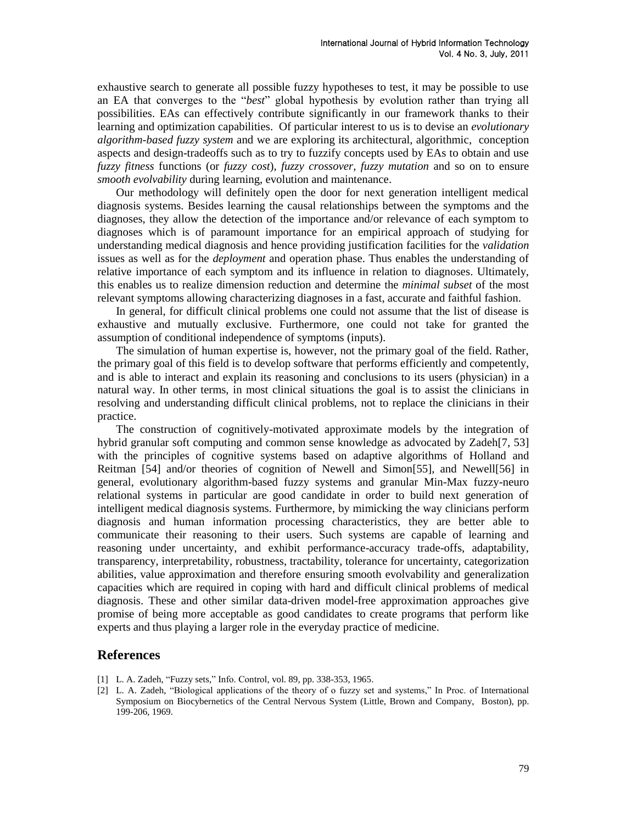exhaustive search to generate all possible fuzzy hypotheses to test, it may be possible to use an EA that converges to the "*best*" global hypothesis by evolution rather than trying all possibilities. EAs can effectively contribute significantly in our framework thanks to their learning and optimization capabilities. Of particular interest to us is to devise an *evolutionary algorithm-based fuzzy system* and we are exploring its architectural, algorithmic, conception aspects and design-tradeoffs such as to try to fuzzify concepts used by EAs to obtain and use *fuzzy fitness* functions (or *fuzzy cost*), *fuzzy crossover*, *fuzzy mutation* and so on to ensure *smooth evolvability* during learning, evolution and maintenance.

Our methodology will definitely open the door for next generation intelligent medical diagnosis systems. Besides learning the causal relationships between the symptoms and the diagnoses, they allow the detection of the importance and/or relevance of each symptom to diagnoses which is of paramount importance for an empirical approach of studying for understanding medical diagnosis and hence providing justification facilities for the *validation*  issues as well as for the *deployment* and operation phase. Thus enables the understanding of relative importance of each symptom and its influence in relation to diagnoses. Ultimately, this enables us to realize dimension reduction and determine the *minimal subset* of the most relevant symptoms allowing characterizing diagnoses in a fast, accurate and faithful fashion.

In general, for difficult clinical problems one could not assume that the list of disease is exhaustive and mutually exclusive. Furthermore, one could not take for granted the assumption of conditional independence of symptoms (inputs).

The simulation of human expertise is, however, not the primary goal of the field. Rather, the primary goal of this field is to develop software that performs efficiently and competently, and is able to interact and explain its reasoning and conclusions to its users (physician) in a natural way. In other terms, in most clinical situations the goal is to assist the clinicians in resolving and understanding difficult clinical problems, not to replace the clinicians in their practice.

The construction of cognitively-motivated approximate models by the integration of hybrid granular soft computing and common sense knowledge as advocated by Zadeh[7, 53] with the principles of cognitive systems based on adaptive algorithms of Holland and Reitman [54] and/or theories of cognition of Newell and Simon[55], and Newell[56] in general, evolutionary algorithm-based fuzzy systems and granular Min-Max fuzzy-neuro relational systems in particular are good candidate in order to build next generation of intelligent medical diagnosis systems. Furthermore, by mimicking the way clinicians perform diagnosis and human information processing characteristics, they are better able to communicate their reasoning to their users. Such systems are capable of learning and reasoning under uncertainty, and exhibit performance-accuracy trade-offs, adaptability, transparency, interpretability, robustness, tractability, tolerance for uncertainty, categorization abilities, value approximation and therefore ensuring smooth evolvability and generalization capacities which are required in coping with hard and difficult clinical problems of medical diagnosis. These and other similar data-driven model-free approximation approaches give promise of being more acceptable as good candidates to create programs that perform like experts and thus playing a larger role in the everyday practice of medicine.

### **References**

- [1] L. A. Zadeh, "Fuzzy sets," Info. Control, vol. 89, pp. 338-353, 1965.
- [2] L. A. Zadeh, "Biological applications of the theory of o fuzzy set and systems," In Proc. of International Symposium on Biocybernetics of the Central Nervous System (Little, Brown and Company, Boston), pp. 199-206, 1969.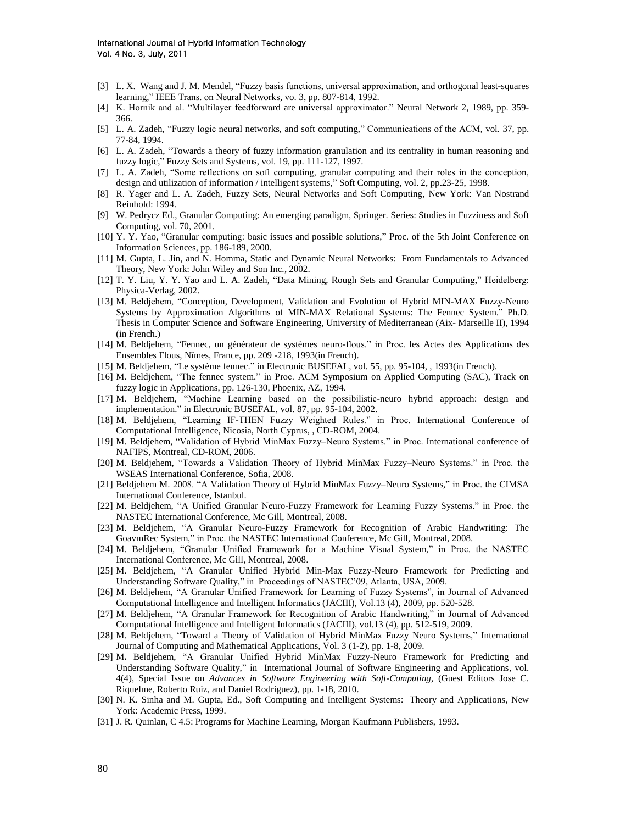- [3] L. X. Wang and J. M. Mendel, "Fuzzy basis functions, universal approximation, and orthogonal least-squares learning," IEEE Trans. on Neural Networks, vo. 3, pp. 807-814, 1992.
- [4] K. Hornik and al. "Multilayer feedforward are universal approximator." Neural Network 2, 1989, pp. 359- 366.
- [5] L. A. Zadeh, "Fuzzy logic neural networks, and soft computing," Communications of the ACM, vol. 37, pp. 77-84, 1994.
- [6] L. A. Zadeh, "Towards a theory of fuzzy information granulation and its centrality in human reasoning and fuzzy logic," Fuzzy Sets and Systems, vol. 19, pp. 111-127, 1997.
- [7] L. A. Zadeh, "Some reflections on soft computing, granular computing and their roles in the conception, design and utilization of information / intelligent systems," Soft Computing, vol. 2, pp.23-25, 1998.
- [8] R. Yager and L. A. Zadeh, Fuzzy Sets, Neural Networks and Soft Computing, New York: Van Nostrand Reinhold: 1994.
- [9] W. Pedrycz Ed., Granular Computing: An emerging paradigm, Springer. Series: Studies in Fuzziness and Soft Computing, vol. 70, 2001.
- [10] Y. Y. Yao, "Granular computing: basic issues and possible solutions," Proc. of the 5th Joint Conference on Information Sciences, pp. 186-189, 2000.
- [11] M. Gupta, L. Jin, and N. Homma, Static and Dynamic Neural Networks: From Fundamentals to Advanced Theory, New York: John Wiley and Son Inc., 2002.
- [12] T. Y. Liu, Y. Y. Yao and L. A. Zadeh, "Data Mining, Rough Sets and Granular Computing," Heidelberg: Physica-Verlag, 2002.
- [13] M. Beldjehem, "Conception, Development, Validation and Evolution of Hybrid MIN-MAX Fuzzy-Neuro Systems by Approximation Algorithms of MIN-MAX Relational Systems: The Fennec System." Ph.D. Thesis in Computer Science and Software Engineering, University of Mediterranean (Aix- Marseille II), 1994 (in French.)
- [14] M. Beldjehem, "Fennec, un générateur de systèmes neuro-flous." in Proc. les Actes des Applications des Ensembles Flous, Nîmes, France, pp. 209 -218, 1993(in French).
- [15] M. Beldjehem, "Le système fennec." in Electronic BUSEFAL, vol. 55, pp. 95-104, , 1993(in French).
- [16] M. Beldjehem, "The fennec system." in Proc. ACM Symposium on Applied Computing (SAC), Track on fuzzy logic in Applications, pp. 126-130, Phoenix, AZ, 1994.
- [17] M. Beldjehem, "Machine Learning based on the possibilistic-neuro hybrid approach: design and implementation." in Electronic BUSEFAL, vol. 87, pp. 95-104, 2002.
- [18] M. Beldjehem, "Learning IF-THEN Fuzzy Weighted Rules." in Proc. International Conference of Computational Intelligence, Nicosia, North Cyprus, , CD-ROM, 2004.
- [19] M. Beldjehem, "Validation of Hybrid MinMax Fuzzy–Neuro Systems." in Proc. International conference of NAFIPS, Montreal, CD-ROM, 2006.
- [20] M. Beldjehem, "Towards a Validation Theory of Hybrid MinMax Fuzzy–Neuro Systems." in Proc. the WSEAS International Conference, Sofia, 2008.
- [21] Beldjehem M. 2008. "A Validation Theory of Hybrid MinMax Fuzzy–Neuro Systems," in Proc. the CIMSA International Conference, Istanbul.
- [22] M. Beldjehem, "A Unified Granular Neuro-Fuzzy Framework for Learning Fuzzy Systems." in Proc. the NASTEC International Conference, Mc Gill, Montreal, 2008.
- [23] M. Beldjehem, "A Granular Neuro-Fuzzy Framework for Recognition of Arabic Handwriting: The GoavmRec System," in Proc. the NASTEC International Conference, Mc Gill, Montreal, 2008.
- [24] M. Beldjehem, "Granular Unified Framework for a Machine Visual System," in Proc. the NASTEC International Conference, Mc Gill, Montreal, 2008.
- [25] M. Beldjehem, "A Granular Unified Hybrid Min-Max Fuzzy-Neuro Framework for Predicting and Understanding Software Quality," in Proceedings of NASTEC'09, Atlanta, USA, 2009.
- [26] M. Beldjehem, "A Granular Unified Framework for Learning of Fuzzy Systems", in Journal of Advanced Computational Intelligence and Intelligent Informatics (JACIII), Vol.13 (4), 2009, pp. 520-528.
- [27] M. Beldjehem, "A Granular Framework for Recognition of Arabic Handwriting," in Journal of Advanced Computational Intelligence and Intelligent Informatics (JACIII), vol.13 (4), pp. 512-519, 2009.
- [28] M. Beldjehem, "Toward a Theory of Validation of Hybrid MinMax Fuzzy Neuro Systems," International Journal of Computing and Mathematical Applications, Vol. 3 (1-2), pp. 1-8, 2009.
- [29] M**.** Beldjehem, "A Granular Unified Hybrid MinMax Fuzzy-Neuro Framework for Predicting and Understanding Software Quality," inInternational Journal of Software Engineering and Applications, vol. 4(4), Special Issue on *Advances in Software Engineering with Soft-Computing*, (Guest Editors Jose C. Riquelme, Roberto Ruiz, and Daniel Rodriguez), pp. 1-18, 2010.
- [30] N. K. Sinha and M. Gupta, Ed., Soft Computing and Intelligent Systems: Theory and Applications, New York: Academic Press, 1999.
- [31] J. R. Quinlan, C 4.5: Programs for Machine Learning, Morgan Kaufmann Publishers, 1993.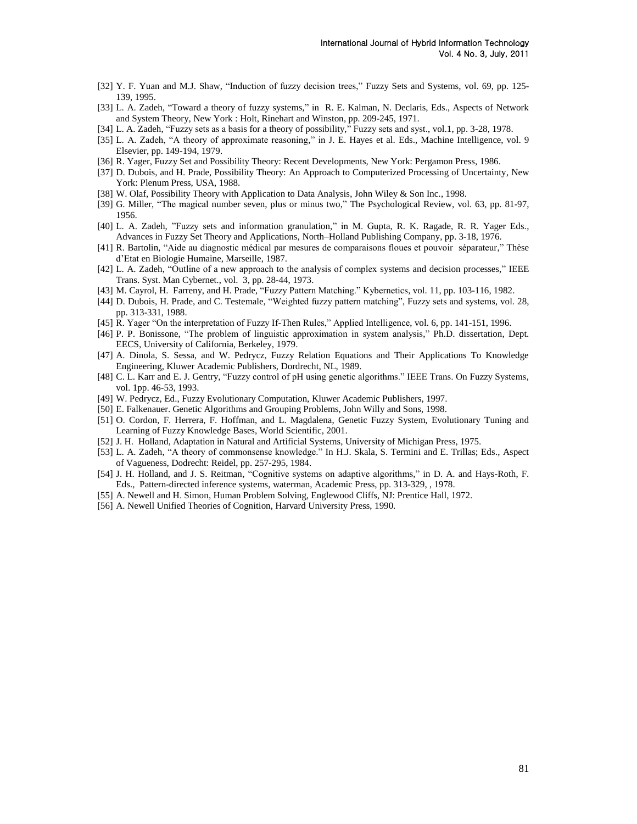- [32] Y. F. Yuan and M.J. Shaw, "Induction of fuzzy decision trees," Fuzzy Sets and Systems, vol. 69, pp. 125- 139, 1995.
- [33] L. A. Zadeh, "Toward a theory of fuzzy systems," in R. E. Kalman, N. Declaris, Eds., Aspects of Network and System Theory, New York : Holt, Rinehart and Winston, pp. 209-245, 1971.
- [34] L. A. Zadeh, "Fuzzy sets as a basis for a theory of possibility," Fuzzy sets and syst., vol.1, pp. 3-28, 1978.
- [35] L. A. Zadeh, "A theory of approximate reasoning," in J. E. Hayes et al. Eds., Machine Intelligence, vol. 9 Elsevier, pp. 149-194, 1979.
- [36] R. Yager, Fuzzy Set and Possibility Theory: Recent Developments, New York: Pergamon Press, 1986.
- [37] D. Dubois, and H. Prade, Possibility Theory: An Approach to Computerized Processing of Uncertainty, New York: Plenum Press, USA, 1988.
- [38] W. Olaf, Possibility Theory with Application to Data Analysis, John Wiley & Son Inc., 1998.
- [39] G. Miller, "The magical number seven, plus or minus two," The Psychological Review, vol. 63, pp. 81-97, 1956.
- [40] L. A. Zadeh, "Fuzzy sets and information granulation," in M. Gupta, R. K. Ragade, R. R. Yager Eds., Advances in Fuzzy Set Theory and Applications, North–Holland Publishing Company, pp. 3-18, 1976.
- [41] R. Bartolin, "Aide au diagnostic médical par mesures de comparaisons floues et pouvoir séparateur," Thèse d'Etat en Biologie Humaine, Marseille, 1987.
- [42] L. A. Zadeh, "Outline of a new approach to the analysis of complex systems and decision processes," IEEE Trans. Syst. Man Cybernet., vol. 3, pp. 28-44, 1973.
- [43] M. Cayrol, H. Farreny, and H. Prade, "Fuzzy Pattern Matching." Kybernetics, vol. 11, pp. 103-116, 1982.
- [44] D. Dubois, H. Prade, and C. Testemale, "Weighted fuzzy pattern matching", Fuzzy sets and systems, vol. 28, pp. 313-331, 1988.
- [45] R. Yager "On the interpretation of Fuzzy If-Then Rules," Applied Intelligence, vol. 6, pp. 141-151, 1996.
- [46] P. P. Bonissone, "The problem of linguistic approximation in system analysis," Ph.D. dissertation, Dept. EECS, University of California, Berkeley, 1979.
- [47] A. Dinola, S. Sessa, and W. Pedrycz, Fuzzy Relation Equations and Their Applications To Knowledge Engineering, Kluwer Academic Publishers, Dordrecht, NL, 1989.
- [48] C. L. Karr and E. J. Gentry, "Fuzzy control of pH using genetic algorithms." IEEE Trans. On Fuzzy Systems, vol. 1pp. 46-53, 1993.
- [49] W. Pedrycz, Ed., Fuzzy Evolutionary Computation, Kluwer Academic Publishers, 1997.
- [50] E. Falkenauer. Genetic Algorithms and Grouping Problems, John Willy and Sons, 1998.
- [51] O. Cordon, F. Herrera, F. Hoffman, and L. Magdalena, Genetic Fuzzy System, Evolutionary Tuning and Learning of Fuzzy Knowledge Bases, World Scientific, 2001.
- [52] J. H. Holland, Adaptation in Natural and Artificial Systems, University of Michigan Press, 1975.
- [53] L. A. Zadeh, "A theory of commonsense knowledge." In H.J. Skala, S. Termini and E. Trillas; Eds., Aspect of Vagueness, Dodrecht: Reidel, pp. 257-295, 1984.
- [54] J. H. Holland, and J. S. Reitman, "Cognitive systems on adaptive algorithms," in D. A. and Hays-Roth, F. Eds., Pattern-directed inference systems, waterman, Academic Press, pp. 313-329, , 1978.
- [55] A. Newell and H. Simon, Human Problem Solving, Englewood Cliffs, NJ: Prentice Hall, 1972.
- [56] A. Newell Unified Theories of Cognition, Harvard University Press, 1990.